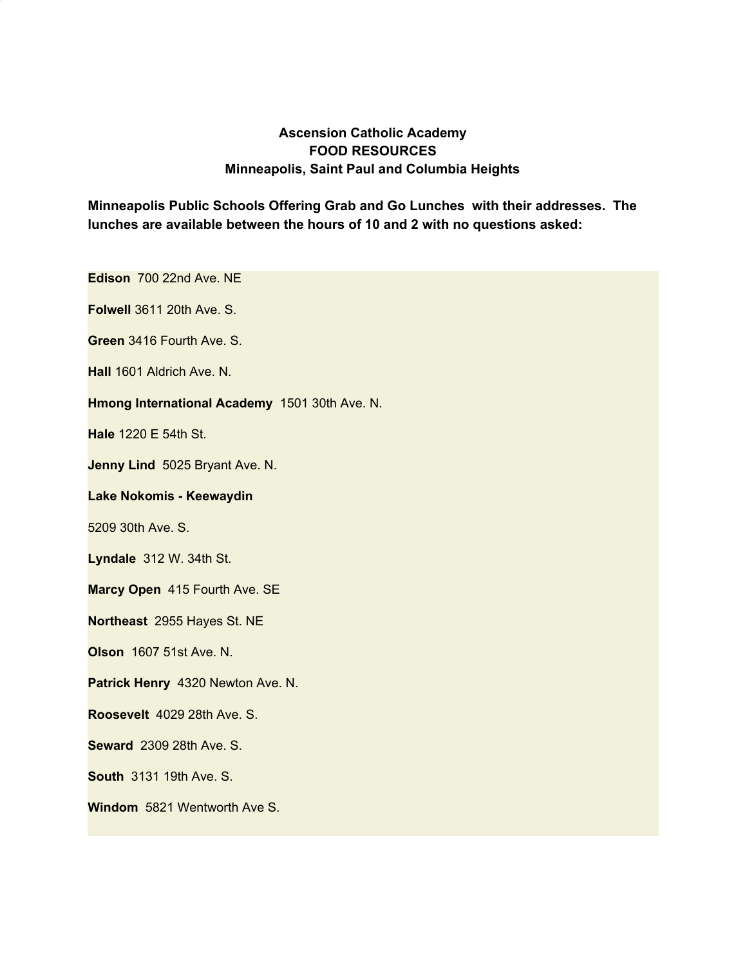## **Ascension Catholic Academy FOOD RESOURCES Minneapolis, Saint Paul and Columbia Heights**

**Minneapolis Public Schools Offering Grab and Go Lunches with their addresses. The lunches are available between the hours of 10 and 2 with no questions asked:**

**Edison** 700 22nd Ave. NE

**Folwell** 3611 20th Ave. S.

**Green** 3416 Fourth Ave. S.

**Hall** 1601 Aldrich Ave. N.

**Hmong International Academy** 1501 30th Ave. N.

**Hale** 1220 E 54th St.

**Jenny Lind** 5025 Bryant Ave. N.

## **Lake Nokomis - Keewaydin**

5209 30th Ave. S.

**Lyndale** 312 W. 34th St.

**Marcy Open** 415 Fourth Ave. SE

**Northeast** 2955 Hayes St. NE

**Olson** 1607 51st Ave. N.

**Patrick Henry** 4320 Newton Ave. N.

**Roosevelt** 4029 28th Ave. S.

**Seward** 2309 28th Ave. S.

**South** 3131 19th Ave. S.

**Windom** 5821 Wentworth Ave S.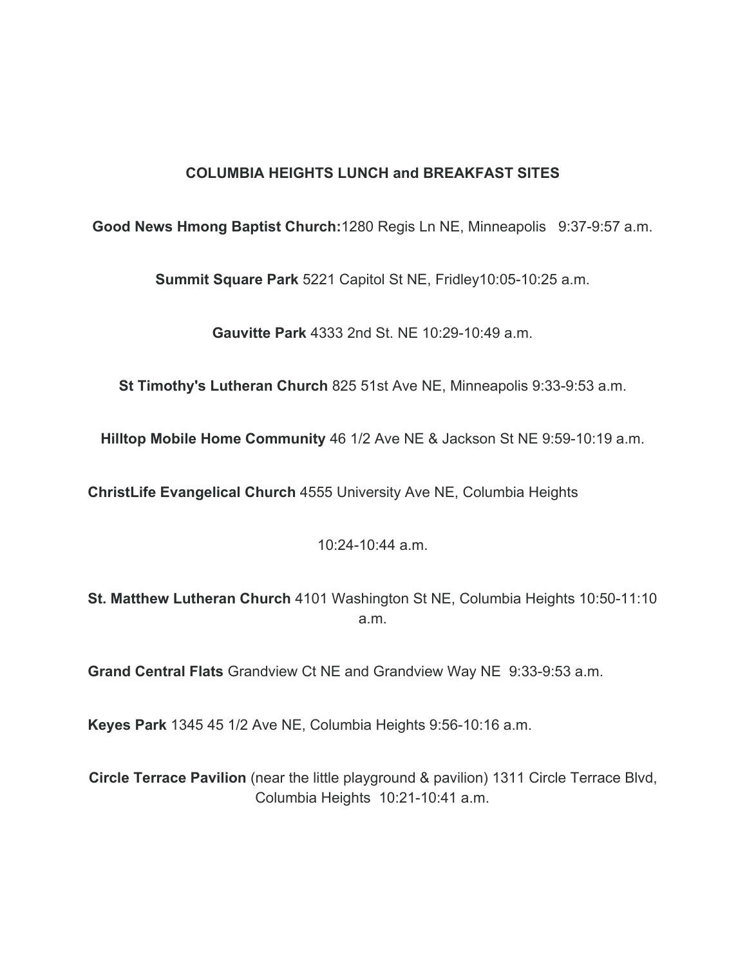## **COLUMBIA HEIGHTS LUNCH and BREAKFAST SITES**

**Good News Hmong Baptist Church:**1280 Regis Ln NE, Minneapolis 9:37-9:57 a.m.

**Summit Square Park** 5221 Capitol St NE, Fridley10:05-10:25 a.m.

**Gauvitte Park** 4333 2nd St. NE 10:29-10:49 a.m.

**St Timothy's Lutheran Church** 825 51st Ave NE, Minneapolis 9:33-9:53 a.m.

**Hilltop Mobile Home Community** 46 1/2 Ave NE & Jackson St NE 9:59-10:19 a.m.

**ChristLife Evangelical Church** 4555 University Ave NE, Columbia Heights

10:24-10:44 a.m.

**St. Matthew Lutheran Church** 4101 Washington St NE, Columbia Heights 10:50-11:10 a.m.

**Grand Central Flats** Grandview Ct NE and Grandview Way NE 9:33-9:53 a.m.

**Keyes Park** 1345 45 1/2 Ave NE, Columbia Heights 9:56-10:16 a.m.

**Circle Terrace Pavilion** (near the little playground & pavilion) 1311 Circle Terrace Blvd, Columbia Heights 10:21-10:41 a.m.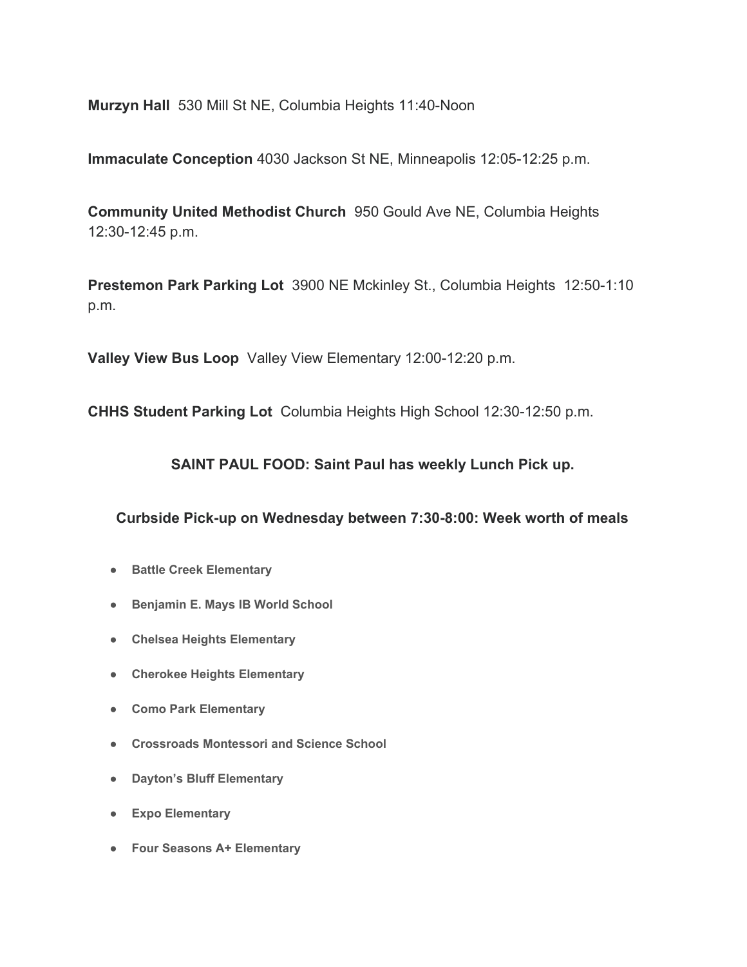**Murzyn Hall** 530 Mill St NE, Columbia Heights 11:40-Noon

**Immaculate Conception** 4030 Jackson St NE, Minneapolis 12:05-12:25 p.m.

**Community United Methodist Church** 950 Gould Ave NE, Columbia Heights 12:30-12:45 p.m.

**Prestemon Park Parking Lot** 3900 NE Mckinley St., Columbia Heights 12:50-1:10 p.m.

**Valley View Bus Loop** Valley View Elementary 12:00-12:20 p.m.

**CHHS Student Parking Lot** Columbia Heights High School 12:30-12:50 p.m.

**SAINT PAUL FOOD: Saint Paul has weekly Lunch Pick up.**

**Curbside Pick-up on Wednesday between 7:30-8:00: Week worth of meals**

- **● Battle Creek Elementary**
- **● Benjamin E. Mays IB World School**
- **● Chelsea Heights Elementary**
- **● Cherokee Heights Elementary**
- **● Como Park Elementary**
- **● Crossroads Montessori and Science School**
- **● Dayton's Bluff Elementary**
- **● Expo Elementary**
- **● Four Seasons A+ Elementary**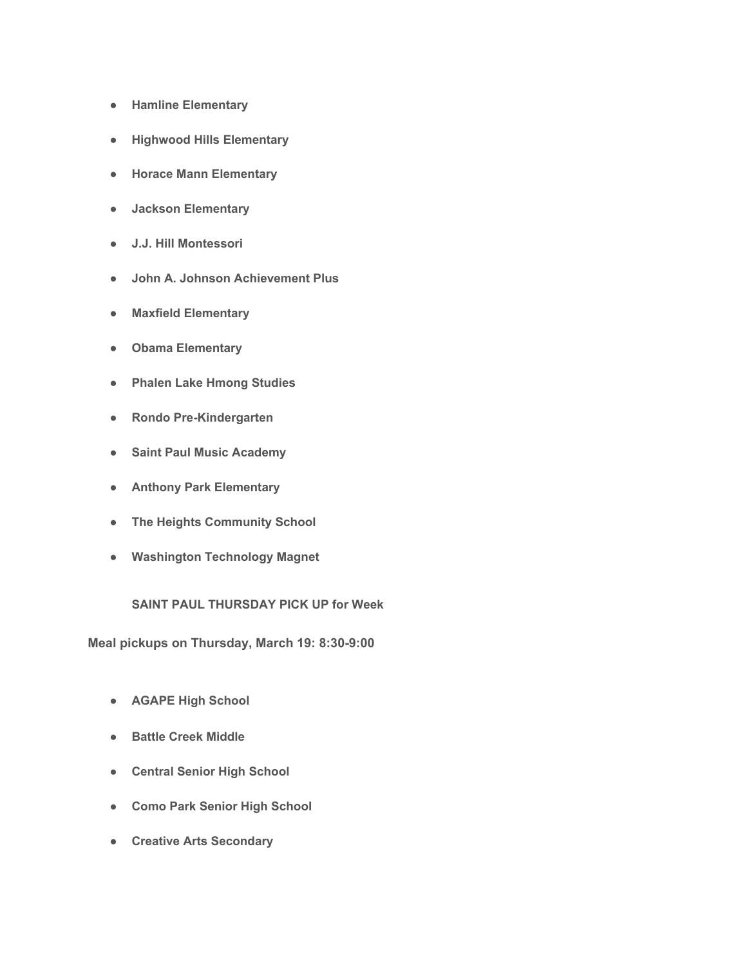- **● Hamline Elementary**
- **● Highwood Hills Elementary**
- **● Horace Mann Elementary**
- **● Jackson Elementary**
- **● J.J. Hill Montessori**
- **● John A. Johnson Achievement Plus**
- **● Maxfield Elementary**
- **● Obama Elementary**
- **● Phalen Lake Hmong Studies**
- **● Rondo Pre-Kindergarten**
- **● Saint Paul Music Academy**
- **● Anthony Park Elementary**
- **● The Heights Community School**
- **● Washington Technology Magnet**

## **SAINT PAUL THURSDAY PICK UP for Week**

**Meal pickups on Thursday, March 19: 8:30-9:00**

- **● AGAPE High School**
- **● Battle Creek Middle**
- **● Central Senior High School**
- **● Como Park Senior High School**
- **● Creative Arts Secondary**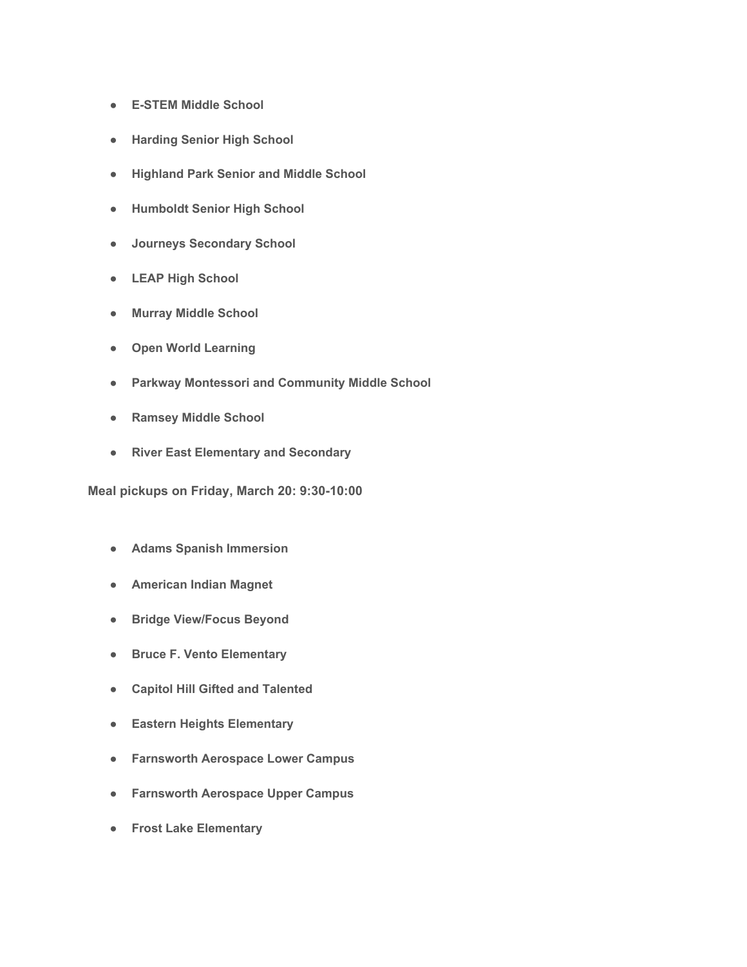- **● E-STEM Middle School**
- **● Harding Senior High School**
- **● Highland Park Senior and Middle School**
- **● Humboldt Senior High School**
- **● Journeys Secondary School**
- **● LEAP High School**
- **● Murray Middle School**
- **● Open World Learning**
- **● Parkway Montessori and Community Middle School**
- **● Ramsey Middle School**
- **● River East Elementary and Secondary**

**Meal pickups on Friday, March 20: 9:30-10:00**

- **● Adams Spanish Immersion**
- **● American Indian Magnet**
- **● Bridge View/Focus Beyond**
- **● Bruce F. Vento Elementary**
- **● Capitol Hill Gifted and Talented**
- **● Eastern Heights Elementary**
- **● Farnsworth Aerospace Lower Campus**
- **● Farnsworth Aerospace Upper Campus**
- **● Frost Lake Elementary**